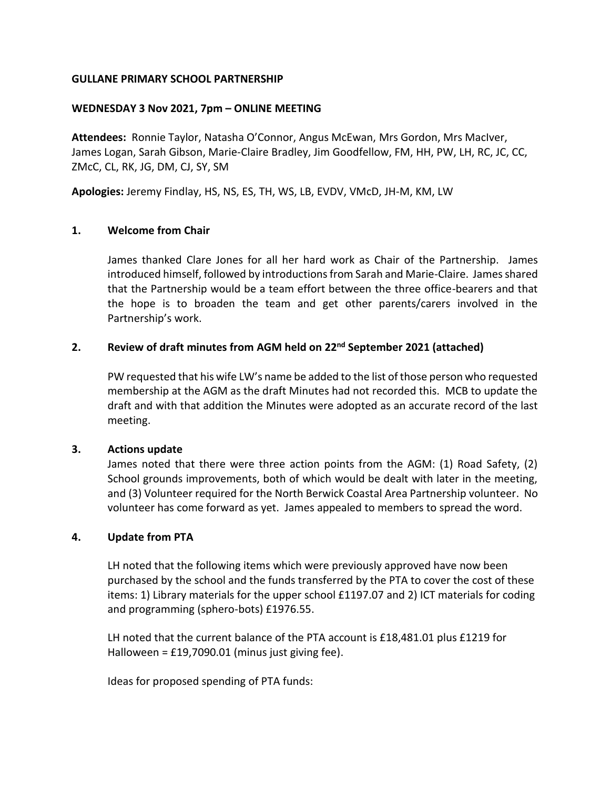## **GULLANE PRIMARY SCHOOL PARTNERSHIP**

## **WEDNESDAY 3 Nov 2021, 7pm – ONLINE MEETING**

**Attendees:** Ronnie Taylor, Natasha O'Connor, Angus McEwan, Mrs Gordon, Mrs MacIver, James Logan, Sarah Gibson, Marie-Claire Bradley, Jim Goodfellow, FM, HH, PW, LH, RC, JC, CC, ZMcC, CL, RK, JG, DM, CJ, SY, SM

**Apologies:** Jeremy Findlay, HS, NS, ES, TH, WS, LB, EVDV, VMcD, JH-M, KM, LW

## **1. Welcome from Chair**

James thanked Clare Jones for all her hard work as Chair of the Partnership. James introduced himself, followed by introductions from Sarah and Marie-Claire. James shared that the Partnership would be a team effort between the three office-bearers and that the hope is to broaden the team and get other parents/carers involved in the Partnership's work.

## **2. Review of draft minutes from AGM held on 22nd September 2021 (attached)**

PW requested that his wife LW's name be added to the list of those person who requested membership at the AGM as the draft Minutes had not recorded this. MCB to update the draft and with that addition the Minutes were adopted as an accurate record of the last meeting.

## **3. Actions update**

James noted that there were three action points from the AGM: (1) Road Safety, (2) School grounds improvements, both of which would be dealt with later in the meeting, and (3) Volunteer required for the North Berwick Coastal Area Partnership volunteer. No volunteer has come forward as yet. James appealed to members to spread the word.

## **4. Update from PTA**

LH noted that the following items which were previously approved have now been purchased by the school and the funds transferred by the PTA to cover the cost of these items: 1) Library materials for the upper school £1197.07 and 2) ICT materials for coding and programming (sphero-bots) £1976.55.

LH noted that the current balance of the PTA account is £18,481.01 plus £1219 for Halloween = £19,7090.01 (minus just giving fee).

Ideas for proposed spending of PTA funds: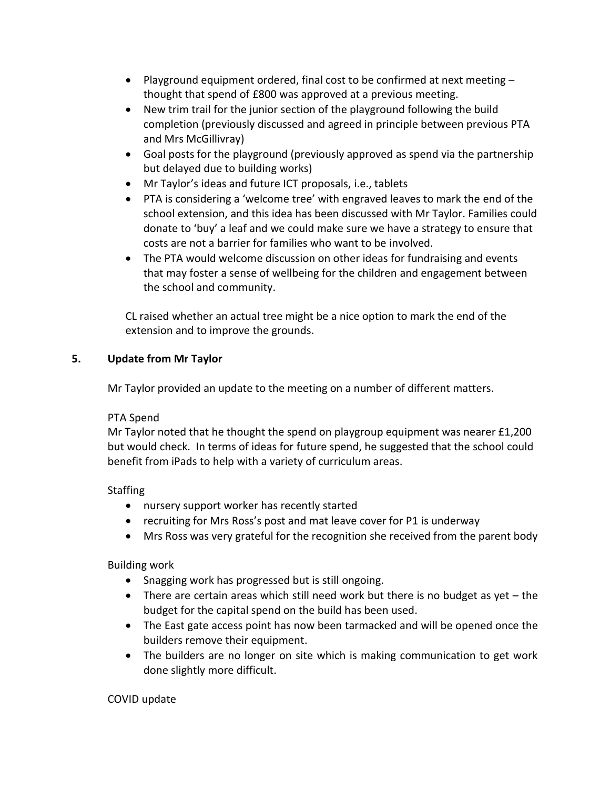- Playground equipment ordered, final cost to be confirmed at next meeting  $$ thought that spend of £800 was approved at a previous meeting.
- New trim trail for the junior section of the playground following the build completion (previously discussed and agreed in principle between previous PTA and Mrs McGillivray)
- Goal posts for the playground (previously approved as spend via the partnership but delayed due to building works)
- Mr Taylor's ideas and future ICT proposals, i.e., tablets
- PTA is considering a 'welcome tree' with engraved leaves to mark the end of the school extension, and this idea has been discussed with Mr Taylor. Families could donate to 'buy' a leaf and we could make sure we have a strategy to ensure that costs are not a barrier for families who want to be involved.
- The PTA would welcome discussion on other ideas for fundraising and events that may foster a sense of wellbeing for the children and engagement between the school and community.

CL raised whether an actual tree might be a nice option to mark the end of the extension and to improve the grounds.

# **5. Update from Mr Taylor**

Mr Taylor provided an update to the meeting on a number of different matters.

# PTA Spend

Mr Taylor noted that he thought the spend on playgroup equipment was nearer £1,200 but would check. In terms of ideas for future spend, he suggested that the school could benefit from iPads to help with a variety of curriculum areas.

# **Staffing**

- nursery support worker has recently started
- recruiting for Mrs Ross's post and mat leave cover for P1 is underway
- Mrs Ross was very grateful for the recognition she received from the parent body

# Building work

- Snagging work has progressed but is still ongoing.
- There are certain areas which still need work but there is no budget as yet  $-$  the budget for the capital spend on the build has been used.
- The East gate access point has now been tarmacked and will be opened once the builders remove their equipment.
- The builders are no longer on site which is making communication to get work done slightly more difficult.

# COVID update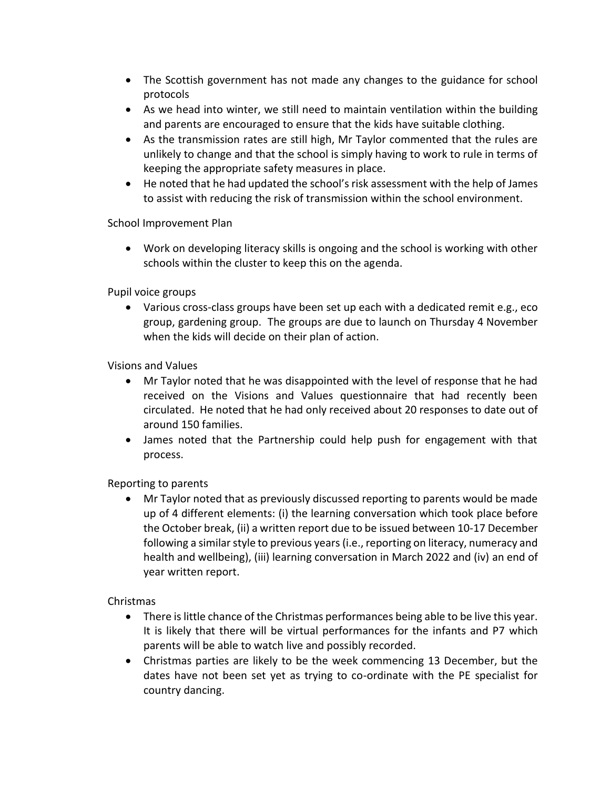- The Scottish government has not made any changes to the guidance for school protocols
- As we head into winter, we still need to maintain ventilation within the building and parents are encouraged to ensure that the kids have suitable clothing.
- As the transmission rates are still high, Mr Taylor commented that the rules are unlikely to change and that the school is simply having to work to rule in terms of keeping the appropriate safety measures in place.
- He noted that he had updated the school's risk assessment with the help of James to assist with reducing the risk of transmission within the school environment.

School Improvement Plan

 Work on developing literacy skills is ongoing and the school is working with other schools within the cluster to keep this on the agenda.

Pupil voice groups

 Various cross-class groups have been set up each with a dedicated remit e.g., eco group, gardening group. The groups are due to launch on Thursday 4 November when the kids will decide on their plan of action.

Visions and Values

- Mr Taylor noted that he was disappointed with the level of response that he had received on the Visions and Values questionnaire that had recently been circulated. He noted that he had only received about 20 responses to date out of around 150 families.
- James noted that the Partnership could help push for engagement with that process.

Reporting to parents

 Mr Taylor noted that as previously discussed reporting to parents would be made up of 4 different elements: (i) the learning conversation which took place before the October break, (ii) a written report due to be issued between 10-17 December following a similar style to previous years(i.e., reporting on literacy, numeracy and health and wellbeing), (iii) learning conversation in March 2022 and (iv) an end of year written report.

Christmas

- There is little chance of the Christmas performances being able to be live this year. It is likely that there will be virtual performances for the infants and P7 which parents will be able to watch live and possibly recorded.
- Christmas parties are likely to be the week commencing 13 December, but the dates have not been set yet as trying to co-ordinate with the PE specialist for country dancing.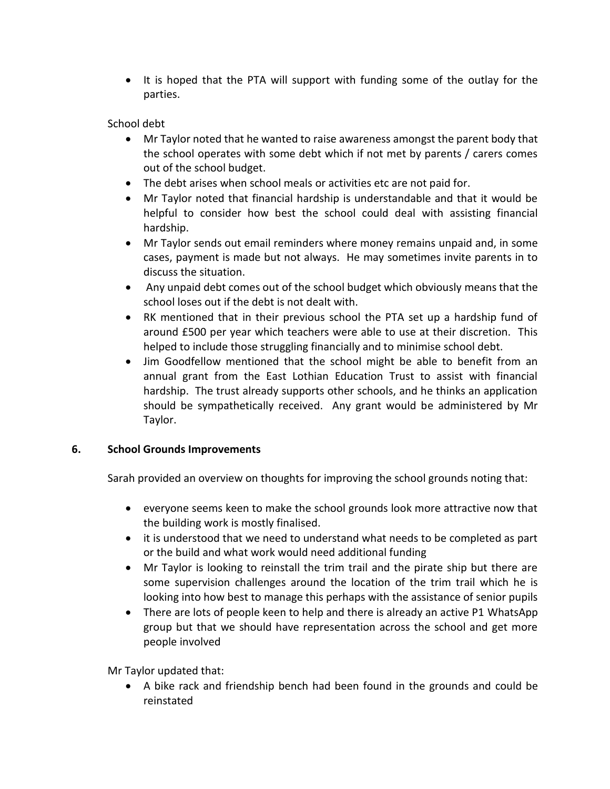• It is hoped that the PTA will support with funding some of the outlay for the parties.

# School debt

- Mr Taylor noted that he wanted to raise awareness amongst the parent body that the school operates with some debt which if not met by parents / carers comes out of the school budget.
- The debt arises when school meals or activities etc are not paid for.
- Mr Taylor noted that financial hardship is understandable and that it would be helpful to consider how best the school could deal with assisting financial hardship.
- Mr Taylor sends out email reminders where money remains unpaid and, in some cases, payment is made but not always. He may sometimes invite parents in to discuss the situation.
- Any unpaid debt comes out of the school budget which obviously means that the school loses out if the debt is not dealt with.
- RK mentioned that in their previous school the PTA set up a hardship fund of around £500 per year which teachers were able to use at their discretion. This helped to include those struggling financially and to minimise school debt.
- Jim Goodfellow mentioned that the school might be able to benefit from an annual grant from the East Lothian Education Trust to assist with financial hardship. The trust already supports other schools, and he thinks an application should be sympathetically received. Any grant would be administered by Mr Taylor.

# **6. School Grounds Improvements**

Sarah provided an overview on thoughts for improving the school grounds noting that:

- everyone seems keen to make the school grounds look more attractive now that the building work is mostly finalised.
- it is understood that we need to understand what needs to be completed as part or the build and what work would need additional funding
- Mr Taylor is looking to reinstall the trim trail and the pirate ship but there are some supervision challenges around the location of the trim trail which he is looking into how best to manage this perhaps with the assistance of senior pupils
- There are lots of people keen to help and there is already an active P1 WhatsApp group but that we should have representation across the school and get more people involved

Mr Taylor updated that:

 A bike rack and friendship bench had been found in the grounds and could be reinstated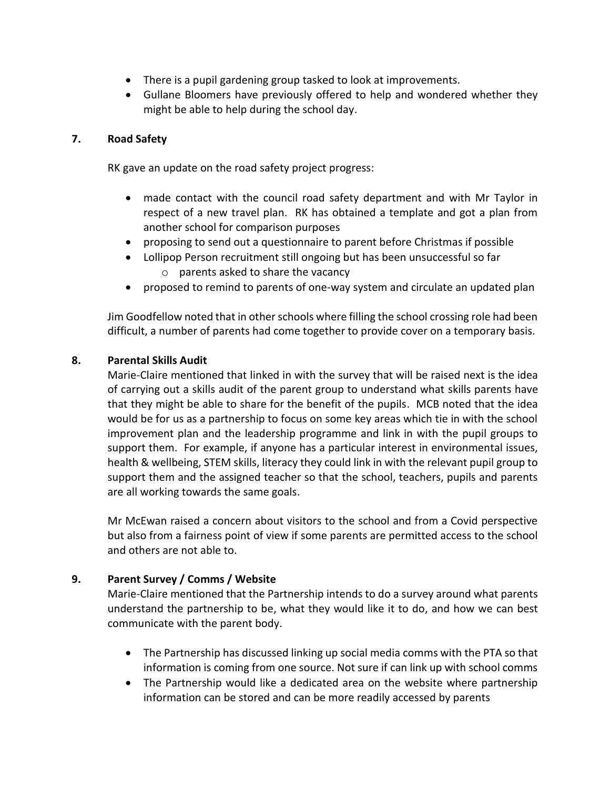- There is a pupil gardening group tasked to look at improvements.
- Gullane Bloomers have previously offered to help and wondered whether they might be able to help during the school day.

# **7. Road Safety**

RK gave an update on the road safety project progress:

- made contact with the council road safety department and with Mr Taylor in respect of a new travel plan. RK has obtained a template and got a plan from another school for comparison purposes
- proposing to send out a questionnaire to parent before Christmas if possible
- Lollipop Person recruitment still ongoing but has been unsuccessful so far
	- $\circ$  parents asked to share the vacancy
- proposed to remind to parents of one-way system and circulate an updated plan

Jim Goodfellow noted that in other schools where filling the school crossing role had been difficult, a number of parents had come together to provide cover on a temporary basis.

# **8. Parental Skills Audit**

Marie-Claire mentioned that linked in with the survey that will be raised next is the idea of carrying out a skills audit of the parent group to understand what skills parents have that they might be able to share for the benefit of the pupils. MCB noted that the idea would be for us as a partnership to focus on some key areas which tie in with the school improvement plan and the leadership programme and link in with the pupil groups to support them. For example, if anyone has a particular interest in environmental issues, health & wellbeing, STEM skills, literacy they could link in with the relevant pupil group to support them and the assigned teacher so that the school, teachers, pupils and parents are all working towards the same goals.

Mr McEwan raised a concern about visitors to the school and from a Covid perspective but also from a fairness point of view if some parents are permitted access to the school and others are not able to.

# **9. Parent Survey / Comms / Website**

Marie-Claire mentioned that the Partnership intends to do a survey around what parents understand the partnership to be, what they would like it to do, and how we can best communicate with the parent body.

- The Partnership has discussed linking up social media comms with the PTA so that information is coming from one source. Not sure if can link up with school comms
- The Partnership would like a dedicated area on the website where partnership information can be stored and can be more readily accessed by parents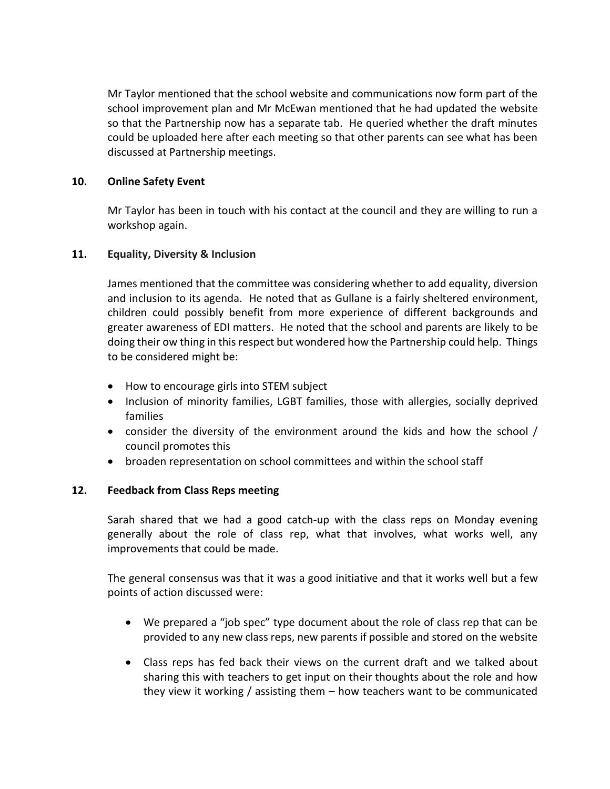Mr Taylor mentioned that the school website and communications now form part of the school improvement plan and Mr McEwan mentioned that he had updated the website so that the Partnership now has a separate tab. He queried whether the draft minutes could be uploaded here after each meeting so that other parents can see what has been discussed at Partnership meetings.

## **10. Online Safety Event**

Mr Taylor has been in touch with his contact at the council and they are willing to run a workshop again.

## **11. Equality, Diversity & Inclusion**

James mentioned that the committee was considering whether to add equality, diversion and inclusion to its agenda. He noted that as Gullane is a fairly sheltered environment, children could possibly benefit from more experience of different backgrounds and greater awareness of EDI matters. He noted that the school and parents are likely to be doing their ow thing in this respect but wondered how the Partnership could help. Things to be considered might be:

- How to encourage girls into STEM subject
- Inclusion of minority families, LGBT families, those with allergies, socially deprived families
- consider the diversity of the environment around the kids and how the school / council promotes this
- broaden representation on school committees and within the school staff

## **12. Feedback from Class Reps meeting**

Sarah shared that we had a good catch-up with the class reps on Monday evening generally about the role of class rep, what that involves, what works well, any improvements that could be made.

The general consensus was that it was a good initiative and that it works well but a few points of action discussed were:

- We prepared a "job spec" type document about the role of class rep that can be provided to any new class reps, new parents if possible and stored on the website
- Class reps has fed back their views on the current draft and we talked about sharing this with teachers to get input on their thoughts about the role and how they view it working / assisting them – how teachers want to be communicated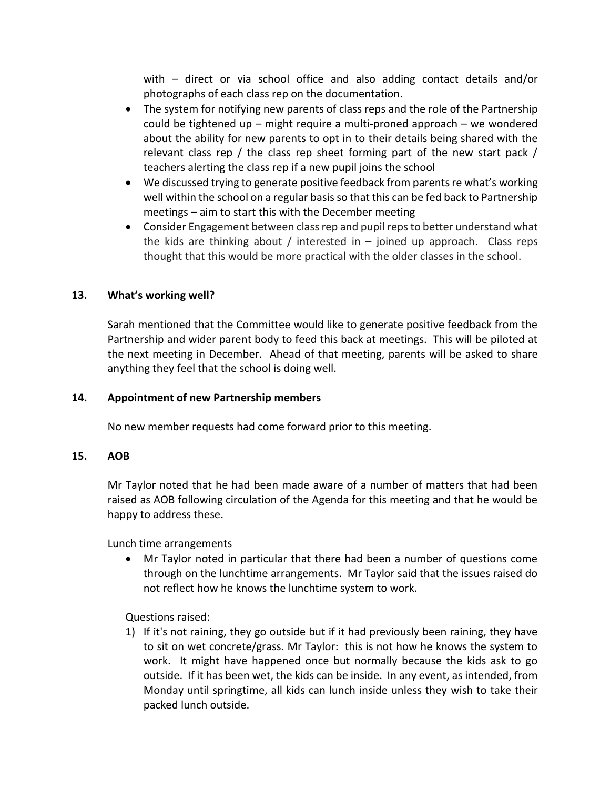with – direct or via school office and also adding contact details and/or photographs of each class rep on the documentation.

- The system for notifying new parents of class reps and the role of the Partnership could be tightened up – might require a multi-proned approach – we wondered about the ability for new parents to opt in to their details being shared with the relevant class rep / the class rep sheet forming part of the new start pack / teachers alerting the class rep if a new pupil joins the school
- We discussed trying to generate positive feedback from parents re what's working well within the school on a regular basis so that this can be fed back to Partnership meetings – aim to start this with the December meeting
- Consider Engagement between classrep and pupil repsto better understand what the kids are thinking about / interested in  $-$  joined up approach. Class reps thought that this would be more practical with the older classes in the school.

# **13. What's working well?**

Sarah mentioned that the Committee would like to generate positive feedback from the Partnership and wider parent body to feed this back at meetings. This will be piloted at the next meeting in December. Ahead of that meeting, parents will be asked to share anything they feel that the school is doing well.

## **14. Appointment of new Partnership members**

No new member requests had come forward prior to this meeting.

#### **15. AOB**

Mr Taylor noted that he had been made aware of a number of matters that had been raised as AOB following circulation of the Agenda for this meeting and that he would be happy to address these.

Lunch time arrangements

 Mr Taylor noted in particular that there had been a number of questions come through on the lunchtime arrangements. Mr Taylor said that the issues raised do not reflect how he knows the lunchtime system to work.

Questions raised:

1) If it's not raining, they go outside but if it had previously been raining, they have to sit on wet concrete/grass. Mr Taylor: this is not how he knows the system to work. It might have happened once but normally because the kids ask to go outside. If it has been wet, the kids can be inside. In any event, as intended, from Monday until springtime, all kids can lunch inside unless they wish to take their packed lunch outside.